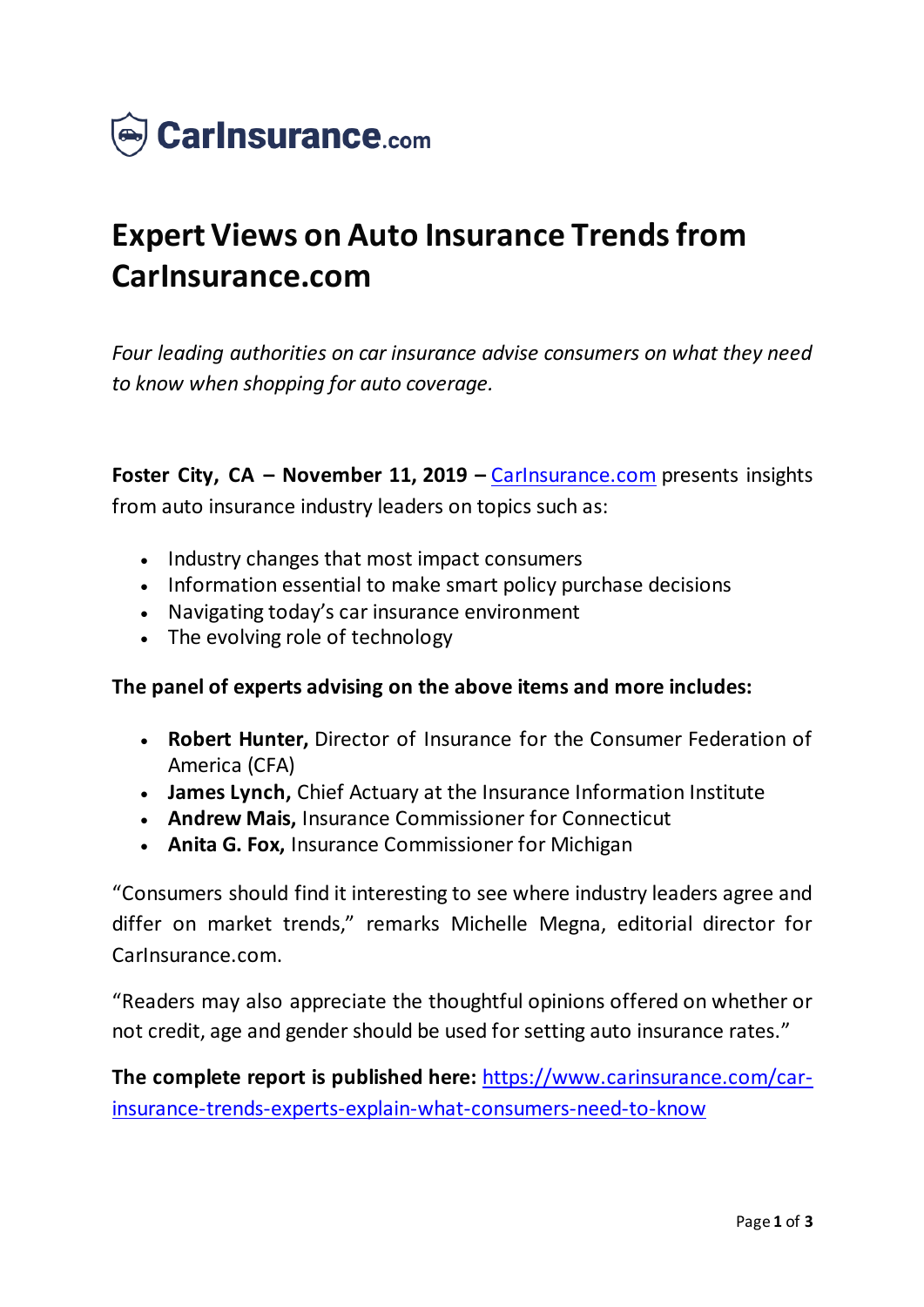

## **Expert Views on Auto Insurance Trends from CarInsurance.com**

*Four leading authorities on car insurance advise consumers on what they need to know when shopping for auto coverage.*

**Foster City, CA – November 11, 2019 –** [CarInsurance.com](https://www.carinsurance.com/) presents insights from auto insurance industry leaders on topics such as:

- Industry changes that most impact consumers
- Information essential to make smart policy purchase decisions
- Navigating today's car insurance environment
- The evolving role of technology

## **The panel of experts advising on the above items and more includes:**

- **Robert Hunter,** Director of Insurance for the Consumer Federation of America (CFA)
- **James Lynch,** Chief Actuary at the Insurance Information Institute
- **Andrew Mais,** Insurance Commissioner for Connecticut
- **Anita G. Fox,** Insurance Commissioner for Michigan

"Consumers should find it interesting to see where industry leaders agree and differ on market trends," remarks Michelle Megna, editorial director for CarInsurance.com.

"Readers may also appreciate the thoughtful opinions offered on whether or not credit, age and gender should be used for setting auto insurance rates."

**The complete report is published here:** [https://www.carinsurance.com/car](https://www.carinsurance.com/car-insurance-trends-experts-explain-what-consumers-need-to-know)[insurance-trends-experts-explain-what-consumers-need-to-know](https://www.carinsurance.com/car-insurance-trends-experts-explain-what-consumers-need-to-know)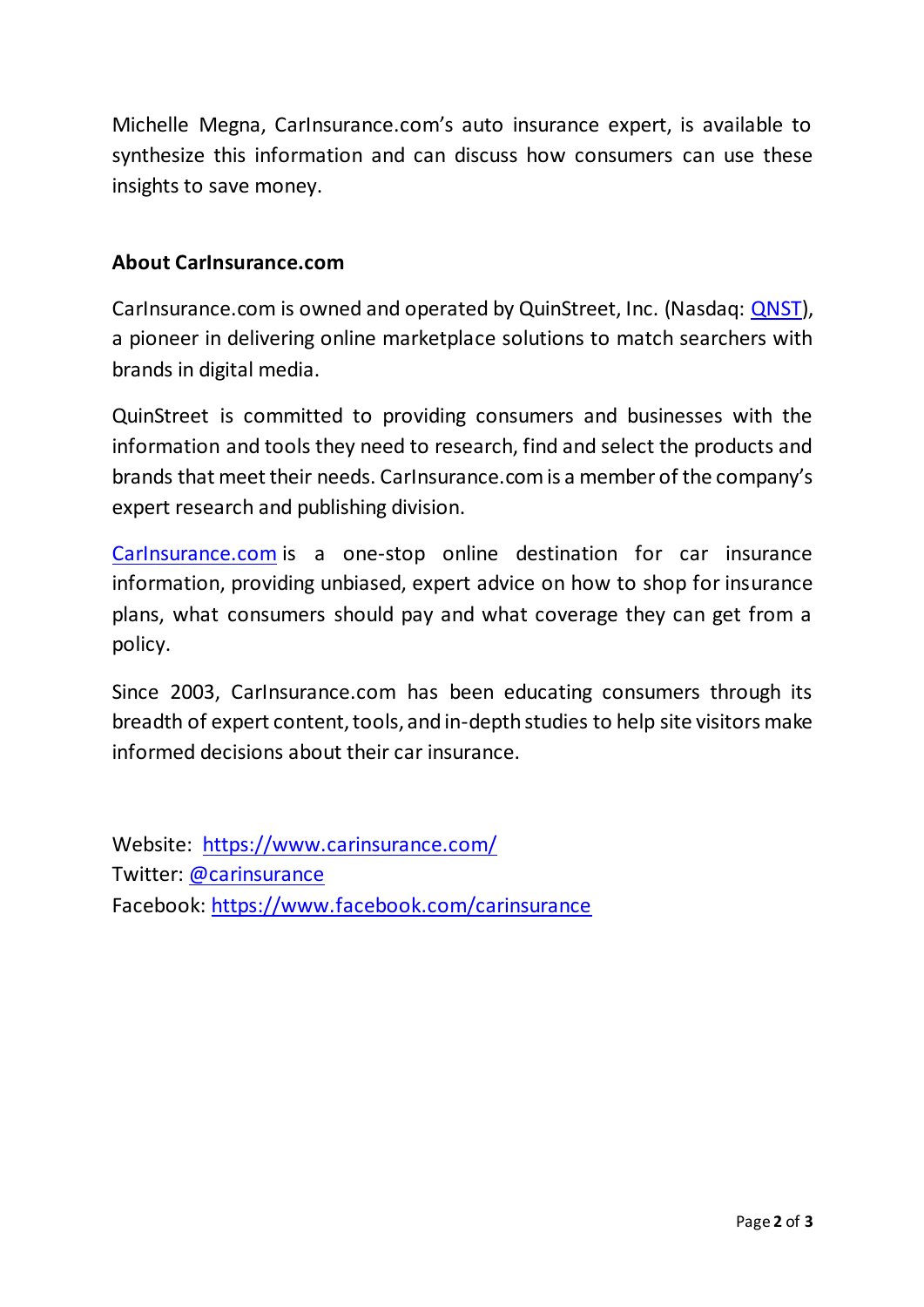Michelle Megna, CarInsurance.com's auto insurance expert, is available to synthesize this information and can discuss how consumers can use these insights to save money.

## **About CarInsurance.com**

CarInsurance.com is owned and operated by QuinStreet, Inc. (Nasdaq: [QNST\)](https://www.nasdaq.com/market-activity/stocks/qnst), a pioneer in delivering online marketplace solutions to match searchers with brands in digital media.

QuinStreet is committed to providing consumers and businesses with the information and tools they need to research, find and select the products and brands that meet their needs. CarInsurance.com is a member of the company's expert research and publishing division.

[CarInsurance.com](https://www.carinsurance.com/) is a one-stop online destination for car insurance information, providing unbiased, expert advice on how to shop for insurance plans, what consumers should pay and what coverage they can get from a policy.

Since 2003, CarInsurance.com has been educating consumers through its breadth of expert content, tools, and in-depth studies to help site visitors make informed decisions about their car insurance.

Website: <https://www.carinsurance.com/> Twitter: [@carinsurance](https://twitter.com/carinsurance) Facebook: [https://www.facebook.com/carinsuranc](https://www.facebook.com/carinsurance)e